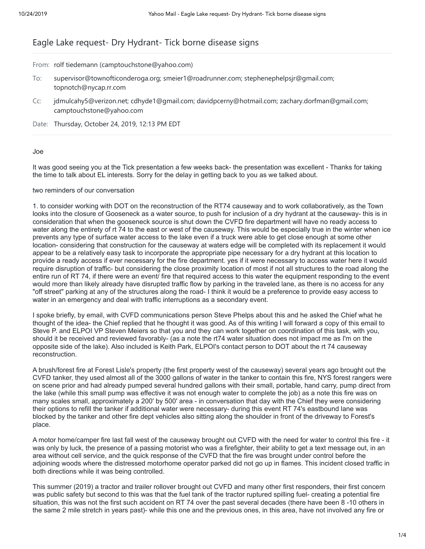## Eagle Lake request- Dry Hydrant- Tick borne disease signs

From: rolf tiedemann (camptouchstone@yahoo.com)

- To: supervisor@townofticonderoga.org; smeier1@roadrunner.com; stephenephelpsjr@gmail.com; topnotch@nycap.rr.com
- Cc: jdmulcahy5@verizon.net; cdhyde1@gmail.com; davidpcerny@hotmail.com; zachary.dorfman@gmail.com; camptouchstone@yahoo.com

Date: Thursday, October 24, 2019, 12:13 PM EDT

## Joe

It was good seeing you at the Tick presentation a few weeks back- the presentation was excellent - Thanks for taking the time to talk about EL interests. Sorry for the delay in getting back to you as we talked about.

## two reminders of our conversation

1. to consider working with DOT on the reconstruction of the RT74 causeway and to work collaboratively, as the Town looks into the closure of Gooseneck as a water source, to push for inclusion of a dry hydrant at the causeway- this is in consideration that when the gooseneck source is shut down the CVFD fire department will have no ready access to water along the entirety of rt 74 to the east or west of the causeway. This would be especially true in the winter when ice prevents any type of surface water access to the lake even if a truck were able to get close enough at some other location- considering that construction for the causeway at waters edge will be completed with its replacement it would appear to be a relatively easy task to incorporate the appropriate pipe necessary for a dry hydrant at this location to provide a ready access if ever necessary for the fire department. yes if it were necessary to access water here it would require disruption of traffic- but considering the close proximity location of most if not all structures to the road along the entire run of RT 74, if there were an event/ fire that required access to this water the equipment responding to the event would more than likely already have disrupted traffic flow by parking in the traveled lane, as there is no access for any "off street" parking at any of the structures along the road- I think it would be a preference to provide easy access to water in an emergency and deal with traffic interruptions as a secondary event.

I spoke briefly, by email, with CVFD communications person Steve Phelps about this and he asked the Chief what he thought of the idea- the Chief replied that he thought it was good. As of this writing I will forward a copy of this email to Steve P. and ELPOI VP Steven Meiers so that you and they can work together on coordination of this task, with you, should it be received and reviewed favorably- (as a note the rt74 water situation does not impact me as I'm on the opposite side of the lake). Also included is Keith Park, ELPOI's contact person to DOT about the rt 74 causeway reconstruction.

A brush/forest fire at Forest Lisle's property (the first property west of the causeway) several years ago brought out the CVFD tanker, they used almost all of the 3000 gallons of water in the tanker to contain this fire, NYS forest rangers were on scene prior and had already pumped several hundred gallons with their small, portable, hand carry, pump direct from the lake (while this small pump was effective it was not enough water to complete the job) as a note this fire was on many scales small, approximately a 200' by 500' area - in conversation that day with the Chief they were considering their options to refill the tanker if additional water were necessary- during this event RT 74's eastbound lane was blocked by the tanker and other fire dept vehicles also sitting along the shoulder in front of the driveway to Forest's place.

A motor home/camper fire last fall west of the causeway brought out CVFD with the need for water to control this fire - it was only by luck, the presence of a passing motorist who was a firefighter, their ability to get a text message out, in an area without cell service, and the quick response of the CVFD that the fire was brought under control before the adjoining woods where the distressed motorhome operator parked did not go up in flames. This incident closed traffic in both directions while it was being controlled.

This summer (2019) a tractor and trailer rollover brought out CVFD and many other first responders, their first concern was public safety but second to this was that the fuel tank of the tractor ruptured spilling fuel- creating a potential fire situation, this was not the first such accident on RT 74 over the past several decades (there have been 8 -10 others in the same 2 mile stretch in years past)- while this one and the previous ones, in this area, have not involved any fire or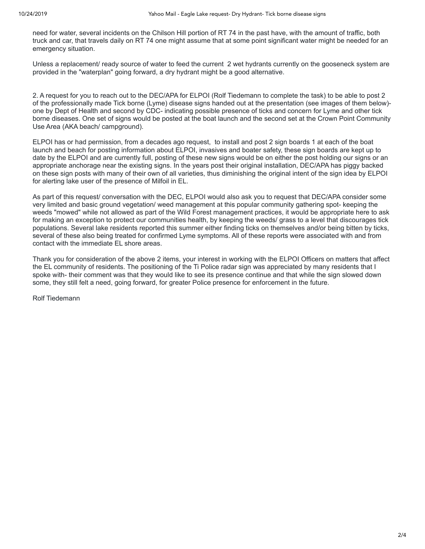need for water, several incidents on the Chilson Hill portion of RT 74 in the past have, with the amount of traffic, both truck and car, that travels daily on RT 74 one might assume that at some point significant water might be needed for an emergency situation.

Unless a replacement/ ready source of water to feed the current 2 wet hydrants currently on the gooseneck system are provided in the "waterplan" going forward, a dry hydrant might be a good alternative.

2. A request for you to reach out to the DEC/APA for ELPOI (Rolf Tiedemann to complete the task) to be able to post 2 of the professionally made Tick borne (Lyme) disease signs handed out at the presentation (see images of them below) one by Dept of Health and second by CDC- indicating possible presence of ticks and concern for Lyme and other tick borne diseases. One set of signs would be posted at the boat launch and the second set at the Crown Point Community Use Area (AKA beach/ campground).

ELPOI has or had permission, from a decades ago request, to install and post 2 sign boards 1 at each of the boat launch and beach for posting information about ELPOI, invasives and boater safety, these sign boards are kept up to date by the ELPOI and are currently full, posting of these new signs would be on either the post holding our signs or an appropriate anchorage near the existing signs. In the years post their original installation, DEC/APA has piggy backed on these sign posts with many of their own of all varieties, thus diminishing the original intent of the sign idea by ELPOI for alerting lake user of the presence of Milfoil in EL.

As part of this request/ conversation with the DEC, ELPOI would also ask you to request that DEC/APA consider some very limited and basic ground vegetation/ weed management at this popular community gathering spot- keeping the weeds "mowed" while not allowed as part of the Wild Forest management practices, it would be appropriate here to ask for making an exception to protect our communities health, by keeping the weeds/ grass to a level that discourages tick populations. Several lake residents reported this summer either finding ticks on themselves and/or being bitten by ticks, several of these also being treated for confirmed Lyme symptoms. All of these reports were associated with and from contact with the immediate EL shore areas.

Thank you for consideration of the above 2 items, your interest in working with the ELPOI Officers on matters that affect the EL community of residents. The positioning of the Ti Police radar sign was appreciated by many residents that I spoke with- their comment was that they would like to see its presence continue and that while the sign slowed down some, they still felt a need, going forward, for greater Police presence for enforcement in the future.

Rolf Tiedemann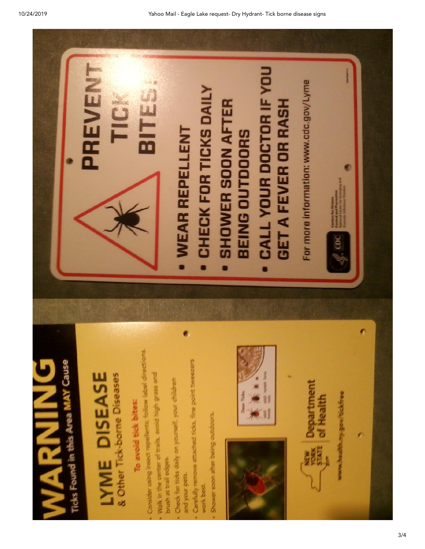